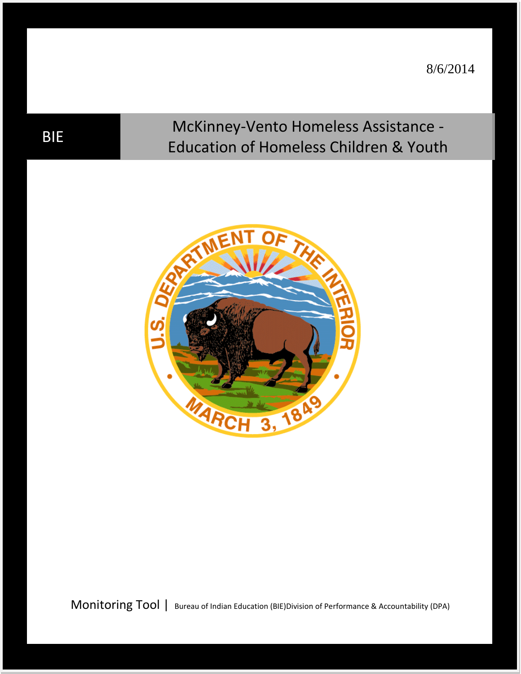8/6/2014

# BIE McKinney-Vento Homeless Assistance -Education of Homeless Children & Youth



Monitoring Tool | Bureau of Indian Education (BIE)Division of Performance & Accountability (DPA)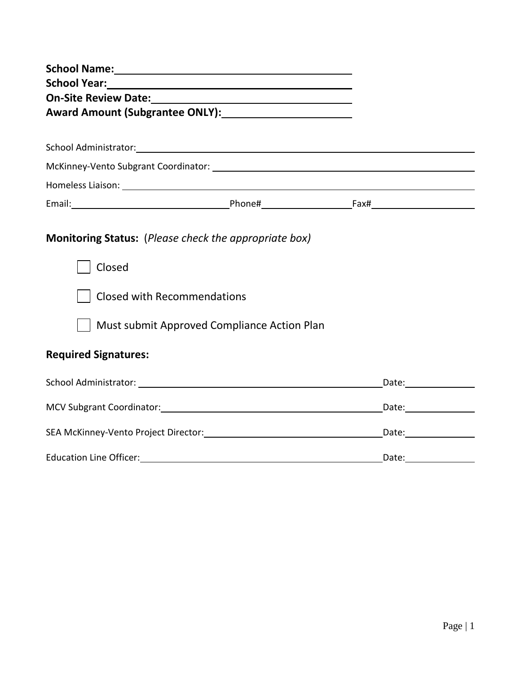| School Name: Name and School Name and School Name and School Name and School Name and School School School School School School School School School School School School School School School School School School School Sch |                                                                                                                       |  |  |  |  |  |  |
|--------------------------------------------------------------------------------------------------------------------------------------------------------------------------------------------------------------------------------|-----------------------------------------------------------------------------------------------------------------------|--|--|--|--|--|--|
|                                                                                                                                                                                                                                |                                                                                                                       |  |  |  |  |  |  |
|                                                                                                                                                                                                                                |                                                                                                                       |  |  |  |  |  |  |
| Award Amount (Subgrantee ONLY): 1999 1999                                                                                                                                                                                      |                                                                                                                       |  |  |  |  |  |  |
|                                                                                                                                                                                                                                |                                                                                                                       |  |  |  |  |  |  |
|                                                                                                                                                                                                                                |                                                                                                                       |  |  |  |  |  |  |
|                                                                                                                                                                                                                                |                                                                                                                       |  |  |  |  |  |  |
|                                                                                                                                                                                                                                |                                                                                                                       |  |  |  |  |  |  |
|                                                                                                                                                                                                                                |                                                                                                                       |  |  |  |  |  |  |
|                                                                                                                                                                                                                                |                                                                                                                       |  |  |  |  |  |  |
| <b>Monitoring Status:</b> (Please check the appropriate box)                                                                                                                                                                   |                                                                                                                       |  |  |  |  |  |  |
| Closed                                                                                                                                                                                                                         |                                                                                                                       |  |  |  |  |  |  |
| <b>Closed with Recommendations</b>                                                                                                                                                                                             |                                                                                                                       |  |  |  |  |  |  |
|                                                                                                                                                                                                                                | Must submit Approved Compliance Action Plan                                                                           |  |  |  |  |  |  |
| <b>Required Signatures:</b>                                                                                                                                                                                                    |                                                                                                                       |  |  |  |  |  |  |
|                                                                                                                                                                                                                                |                                                                                                                       |  |  |  |  |  |  |
|                                                                                                                                                                                                                                |                                                                                                                       |  |  |  |  |  |  |
|                                                                                                                                                                                                                                |                                                                                                                       |  |  |  |  |  |  |
| <b>Education Line Officer:</b>                                                                                                                                                                                                 | <u> 1989 - Johann Barn, mars ann an t-Amhainn an t-Amhainn an t-Amhainn an t-Amhainn an t-Amhainn an t-Amhainn an</u> |  |  |  |  |  |  |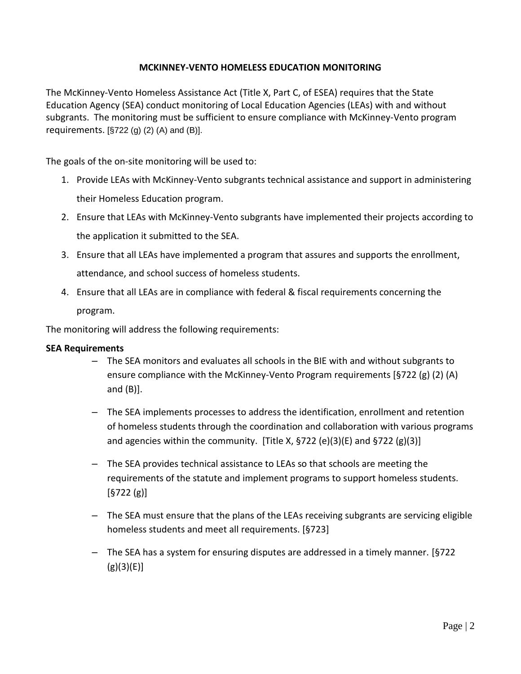# **MCKINNEY-VENTO HOMELESS EDUCATION MONITORING**

The McKinney-Vento Homeless Assistance Act (Title X, Part C, of ESEA) requires that the State Education Agency (SEA) conduct monitoring of Local Education Agencies (LEAs) with and without subgrants. The monitoring must be sufficient to ensure compliance with McKinney-Vento program requirements.  $[§722 (g) (2) (A)$  and  $(B)$ ].

The goals of the on-site monitoring will be used to:

- 1. Provide LEAs with McKinney-Vento subgrants technical assistance and support in administering their Homeless Education program.
- 2. Ensure that LEAs with McKinney-Vento subgrants have implemented their projects according to the application it submitted to the SEA.
- 3. Ensure that all LEAs have implemented a program that assures and supports the enrollment, attendance, and school success of homeless students.
- 4. Ensure that all LEAs are in compliance with federal & fiscal requirements concerning the program.

The monitoring will address the following requirements:

### **SEA Requirements**

- The SEA monitors and evaluates all schools in the BIE with and without subgrants to ensure compliance with the McKinney-Vento Program requirements [§722 (g) (2) (A) and (B)].
- The SEA implements processes to address the identification, enrollment and retention of homeless students through the coordination and collaboration with various programs and agencies within the community. [Title X,  $\frac{5722}{e}(e)(3)(E)$  and  $\frac{5722}{e}(g)(3)$ ]
- The SEA provides technical assistance to LEAs so that schools are meeting the requirements of the statute and implement programs to support homeless students.  $[§722 (g)]$
- The SEA must ensure that the plans of the LEAs receiving subgrants are servicing eligible homeless students and meet all requirements. [§723]
- The SEA has a system for ensuring disputes are addressed in a timely manner. [§722  $(g)(3)(E)$ ]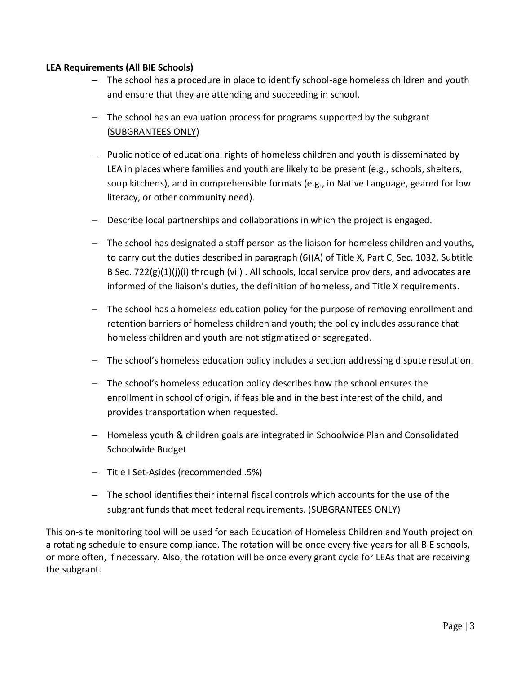## **LEA Requirements (All BIE Schools)**

- The school has a procedure in place to identify school-age homeless children and youth and ensure that they are attending and succeeding in school.
- The school has an evaluation process for programs supported by the subgrant (SUBGRANTEES ONLY)
- Public notice of educational rights of homeless children and youth is disseminated by LEA in places where families and youth are likely to be present (e.g., schools, shelters, soup kitchens), and in comprehensible formats (e.g., in Native Language, geared for low literacy, or other community need).
- Describe local partnerships and collaborations in which the project is engaged.
- The school has designated a staff person as the liaison for homeless children and youths, to carry out the duties described in paragraph (6)(A) of Title X, Part C, Sec. 1032, Subtitle B Sec.  $722(g)(1)(i)$  through (vii). All schools, local service providers, and advocates are informed of the liaison's duties, the definition of homeless, and Title X requirements.
- The school has a homeless education policy for the purpose of removing enrollment and retention barriers of homeless children and youth; the policy includes assurance that homeless children and youth are not stigmatized or segregated.
- The school's homeless education policy includes a section addressing dispute resolution.
- The school's homeless education policy describes how the school ensures the enrollment in school of origin, if feasible and in the best interest of the child, and provides transportation when requested.
- Homeless youth & children goals are integrated in Schoolwide Plan and Consolidated Schoolwide Budget
- Title I Set-Asides (recommended .5%)
- The school identifies their internal fiscal controls which accounts for the use of the subgrant funds that meet federal requirements. (SUBGRANTEES ONLY)

This on-site monitoring tool will be used for each Education of Homeless Children and Youth project on a rotating schedule to ensure compliance. The rotation will be once every five years for all BIE schools, or more often, if necessary. Also, the rotation will be once every grant cycle for LEAs that are receiving the subgrant.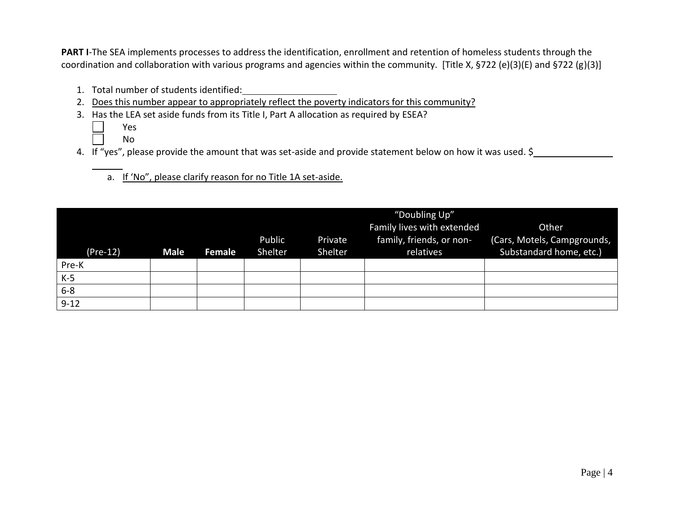**PART I**-The SEA implements processes to address the identification, enrollment and retention of homeless students through the coordination and collaboration with various programs and agencies within the community. [Title X, §722 (e)(3)(E) and §722 (g)(3)]

- 1. Total number of students identified:
- 2. Does this number appear to appropriately reflect the poverty indicators for this community?
- 3. Has the LEA set aside funds from its Title I, Part A allocation as required by ESEA?
	- Yes
	- No
- 4. If "yes", please provide the amount that was set-aside and provide statement below on how it was used. \$

# a. If 'No", please clarify reason for no Title 1A set-aside.

| $(Pre-12)$ | <b>Male</b> | Female | Public<br>Shelter | Private<br>Shelter | "Doubling Up"<br>Family lives with extended<br>family, friends, or non-<br>relatives | Other<br>(Cars, Motels, Campgrounds,<br>Substandard home, etc.) |
|------------|-------------|--------|-------------------|--------------------|--------------------------------------------------------------------------------------|-----------------------------------------------------------------|
| Pre-K      |             |        |                   |                    |                                                                                      |                                                                 |
| $K-5$      |             |        |                   |                    |                                                                                      |                                                                 |
| $6 - 8$    |             |        |                   |                    |                                                                                      |                                                                 |
| $9 - 12$   |             |        |                   |                    |                                                                                      |                                                                 |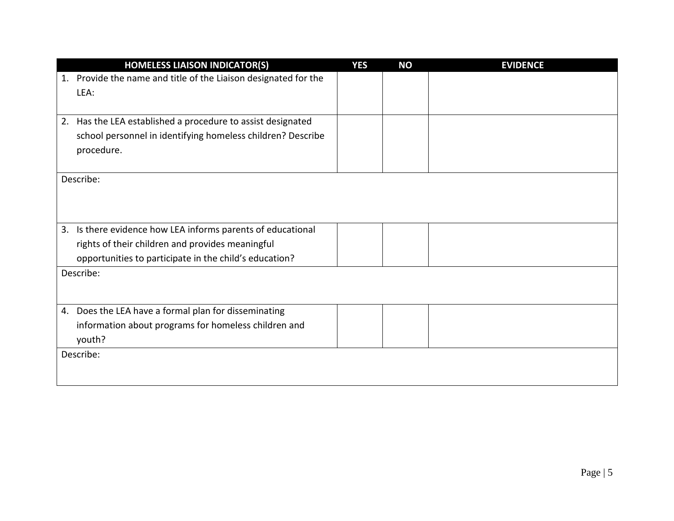| <b>HOMELESS LIAISON INDICATOR(S)</b>                               | <b>YES</b> | <b>NO</b> | <b>EVIDENCE</b> |
|--------------------------------------------------------------------|------------|-----------|-----------------|
| Provide the name and title of the Liaison designated for the<br>1. |            |           |                 |
| LEA:                                                               |            |           |                 |
|                                                                    |            |           |                 |
| Has the LEA established a procedure to assist designated<br>2.     |            |           |                 |
| school personnel in identifying homeless children? Describe        |            |           |                 |
| procedure.                                                         |            |           |                 |
|                                                                    |            |           |                 |
| Describe:                                                          |            |           |                 |
|                                                                    |            |           |                 |
|                                                                    |            |           |                 |
| Is there evidence how LEA informs parents of educational<br>3.     |            |           |                 |
| rights of their children and provides meaningful                   |            |           |                 |
|                                                                    |            |           |                 |
| opportunities to participate in the child's education?             |            |           |                 |
| Describe:                                                          |            |           |                 |
|                                                                    |            |           |                 |
| Does the LEA have a formal plan for disseminating<br>4.            |            |           |                 |
| information about programs for homeless children and               |            |           |                 |
| youth?                                                             |            |           |                 |
| Describe:                                                          |            |           |                 |
|                                                                    |            |           |                 |
|                                                                    |            |           |                 |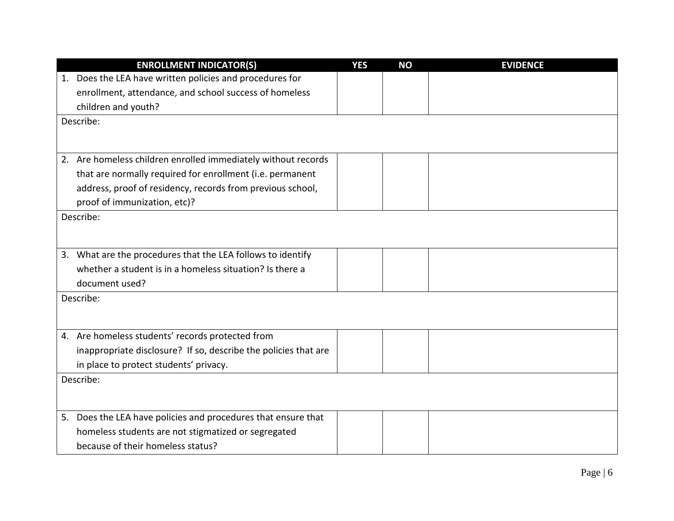| <b>ENROLLMENT INDICATOR(S)</b>                                  | <b>YES</b> | <b>NO</b> | <b>EVIDENCE</b> |
|-----------------------------------------------------------------|------------|-----------|-----------------|
| 1. Does the LEA have written policies and procedures for        |            |           |                 |
| enrollment, attendance, and school success of homeless          |            |           |                 |
| children and youth?                                             |            |           |                 |
| Describe:                                                       |            |           |                 |
|                                                                 |            |           |                 |
| 2. Are homeless children enrolled immediately without records   |            |           |                 |
|                                                                 |            |           |                 |
| that are normally required for enrollment (i.e. permanent       |            |           |                 |
| address, proof of residency, records from previous school,      |            |           |                 |
| proof of immunization, etc)?                                    |            |           |                 |
| Describe:                                                       |            |           |                 |
|                                                                 |            |           |                 |
| 3. What are the procedures that the LEA follows to identify     |            |           |                 |
| whether a student is in a homeless situation? Is there a        |            |           |                 |
| document used?                                                  |            |           |                 |
| Describe:                                                       |            |           |                 |
|                                                                 |            |           |                 |
|                                                                 |            |           |                 |
| 4. Are homeless students' records protected from                |            |           |                 |
| inappropriate disclosure? If so, describe the policies that are |            |           |                 |
| in place to protect students' privacy.                          |            |           |                 |
| Describe:                                                       |            |           |                 |
|                                                                 |            |           |                 |
| 5. Does the LEA have policies and procedures that ensure that   |            |           |                 |
| homeless students are not stigmatized or segregated             |            |           |                 |
| because of their homeless status?                               |            |           |                 |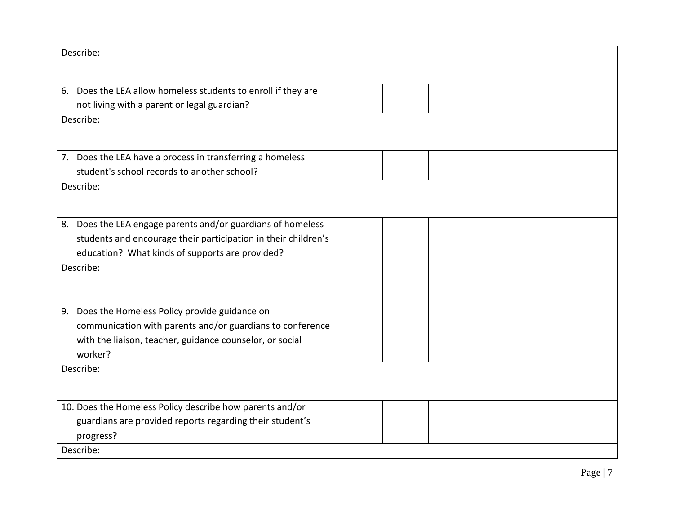| Describe:                                                                                                                                                                        |  |
|----------------------------------------------------------------------------------------------------------------------------------------------------------------------------------|--|
| 6. Does the LEA allow homeless students to enroll if they are<br>not living with a parent or legal guardian?                                                                     |  |
| Describe:                                                                                                                                                                        |  |
|                                                                                                                                                                                  |  |
| 7. Does the LEA have a process in transferring a homeless<br>student's school records to another school?                                                                         |  |
| Describe:                                                                                                                                                                        |  |
|                                                                                                                                                                                  |  |
| 8. Does the LEA engage parents and/or guardians of homeless<br>students and encourage their participation in their children's<br>education? What kinds of supports are provided? |  |
| Describe:                                                                                                                                                                        |  |
|                                                                                                                                                                                  |  |
| 9. Does the Homeless Policy provide guidance on                                                                                                                                  |  |
| communication with parents and/or guardians to conference                                                                                                                        |  |
| with the liaison, teacher, guidance counselor, or social                                                                                                                         |  |
| worker?                                                                                                                                                                          |  |
| Describe:                                                                                                                                                                        |  |
| 10. Does the Homeless Policy describe how parents and/or                                                                                                                         |  |
| guardians are provided reports regarding their student's                                                                                                                         |  |
| progress?                                                                                                                                                                        |  |
| Describe:                                                                                                                                                                        |  |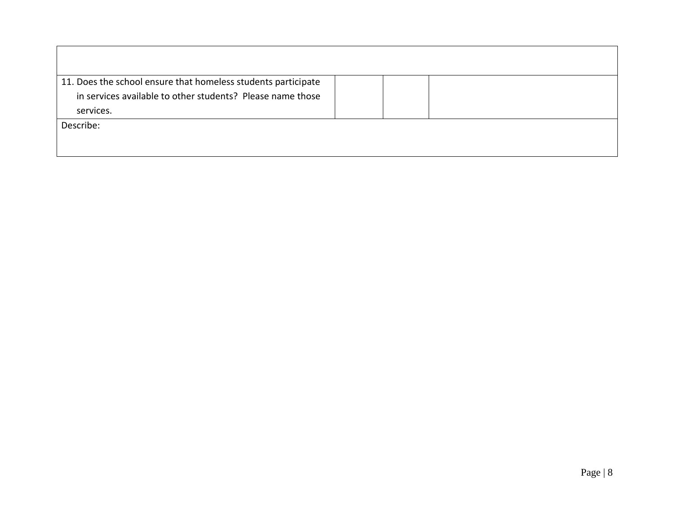| 11. Does the school ensure that homeless students participate |  |  |
|---------------------------------------------------------------|--|--|
| in services available to other students? Please name those    |  |  |
| services.                                                     |  |  |
| Describe:                                                     |  |  |
|                                                               |  |  |
|                                                               |  |  |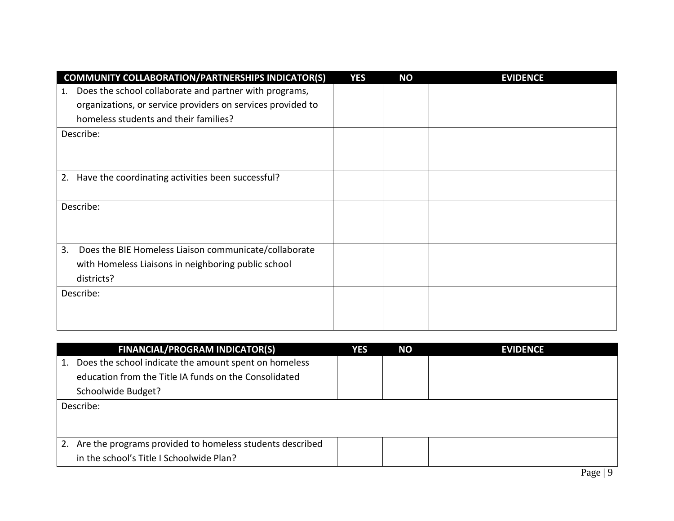| <b>COMMUNITY COLLABORATION/PARTNERSHIPS INDICATOR(S)</b>     | <b>YES</b> | <b>NO</b> | <b>EVIDENCE</b> |
|--------------------------------------------------------------|------------|-----------|-----------------|
| Does the school collaborate and partner with programs,<br>1. |            |           |                 |
| organizations, or service providers on services provided to  |            |           |                 |
| homeless students and their families?                        |            |           |                 |
| Describe:                                                    |            |           |                 |
|                                                              |            |           |                 |
|                                                              |            |           |                 |
| Have the coordinating activities been successful?<br>2.      |            |           |                 |
|                                                              |            |           |                 |
| Describe:                                                    |            |           |                 |
|                                                              |            |           |                 |
|                                                              |            |           |                 |
| 3.<br>Does the BIE Homeless Liaison communicate/collaborate  |            |           |                 |
| with Homeless Liaisons in neighboring public school          |            |           |                 |
| districts?                                                   |            |           |                 |
| Describe:                                                    |            |           |                 |
|                                                              |            |           |                 |
|                                                              |            |           |                 |

|    | <b>FINANCIAL/PROGRAM INDICATOR(S)</b>                    | YES | <b>NO</b> | <b>EVIDENCE</b> |
|----|----------------------------------------------------------|-----|-----------|-----------------|
| 1. | Does the school indicate the amount spent on homeless    |     |           |                 |
|    | education from the Title IA funds on the Consolidated    |     |           |                 |
|    | Schoolwide Budget?                                       |     |           |                 |
|    | Describe:                                                |     |           |                 |
|    |                                                          |     |           |                 |
|    |                                                          |     |           |                 |
| 2. | Are the programs provided to homeless students described |     |           |                 |
|    | in the school's Title I Schoolwide Plan?                 |     |           |                 |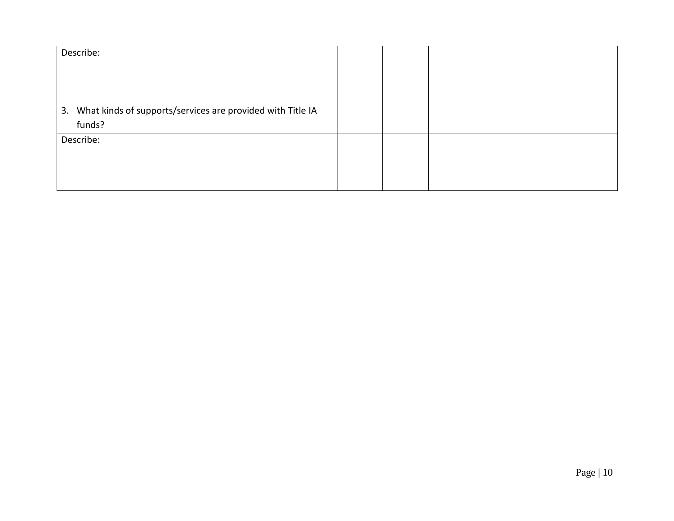| Describe:                                                     |  |  |
|---------------------------------------------------------------|--|--|
|                                                               |  |  |
| 3. What kinds of supports/services are provided with Title IA |  |  |
| funds?                                                        |  |  |
| Describe:                                                     |  |  |
|                                                               |  |  |
|                                                               |  |  |
|                                                               |  |  |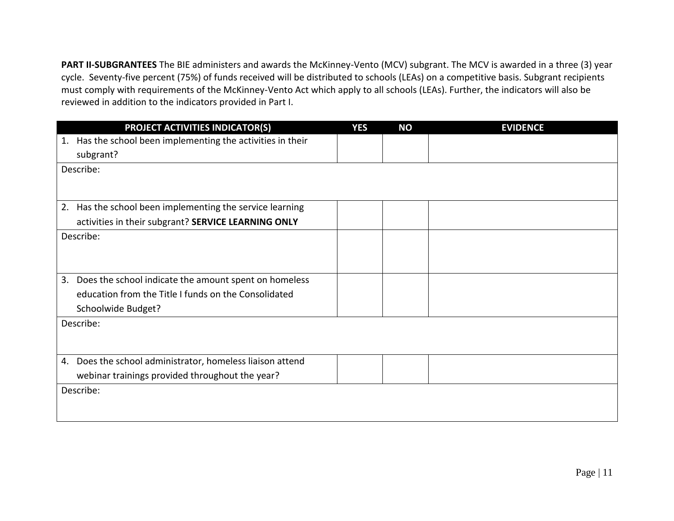**PART II-SUBGRANTEES** The BIE administers and awards the McKinney-Vento (MCV) subgrant. The MCV is awarded in a three (3) year cycle. Seventy-five percent (75%) of funds received will be distributed to schools (LEAs) on a competitive basis. Subgrant recipients must comply with requirements of the McKinney-Vento Act which apply to all schools (LEAs). Further, the indicators will also be reviewed in addition to the indicators provided in Part I.

| PROJECT ACTIVITIES INDICATOR(S)                                | <b>YES</b> | <b>NO</b> | <b>EVIDENCE</b> |
|----------------------------------------------------------------|------------|-----------|-----------------|
| Has the school been implementing the activities in their<br>1. |            |           |                 |
| subgrant?                                                      |            |           |                 |
| Describe:                                                      |            |           |                 |
|                                                                |            |           |                 |
| Has the school been implementing the service learning<br>2.    |            |           |                 |
| activities in their subgrant? SERVICE LEARNING ONLY            |            |           |                 |
| Describe:                                                      |            |           |                 |
|                                                                |            |           |                 |
|                                                                |            |           |                 |
| Does the school indicate the amount spent on homeless<br>3.    |            |           |                 |
| education from the Title I funds on the Consolidated           |            |           |                 |
| Schoolwide Budget?                                             |            |           |                 |
| Describe:                                                      |            |           |                 |
|                                                                |            |           |                 |
| Does the school administrator, homeless liaison attend<br>4.   |            |           |                 |
| webinar trainings provided throughout the year?                |            |           |                 |
| Describe:                                                      |            |           |                 |
|                                                                |            |           |                 |
|                                                                |            |           |                 |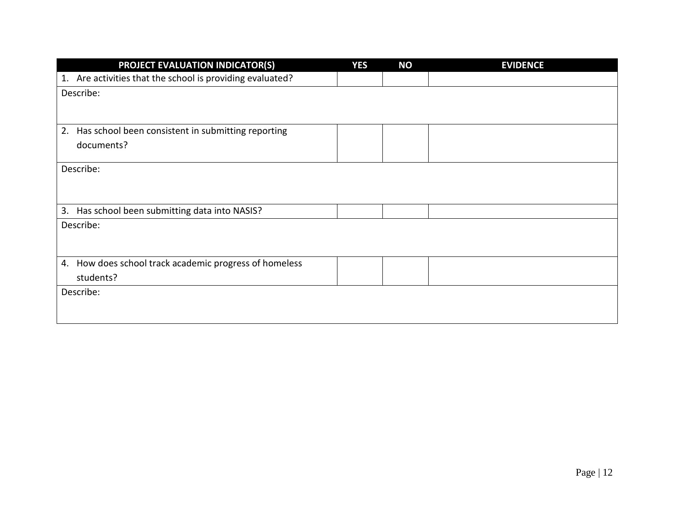| <b>PROJECT EVALUATION INDICATOR(S)</b>                    | <b>YES</b> | <b>NO</b> | <b>EVIDENCE</b> |
|-----------------------------------------------------------|------------|-----------|-----------------|
| 1. Are activities that the school is providing evaluated? |            |           |                 |
| Describe:                                                 |            |           |                 |
|                                                           |            |           |                 |
| 2.<br>Has school been consistent in submitting reporting  |            |           |                 |
| documents?                                                |            |           |                 |
|                                                           |            |           |                 |
| Describe:                                                 |            |           |                 |
|                                                           |            |           |                 |
|                                                           |            |           |                 |
| 3.<br>Has school been submitting data into NASIS?         |            |           |                 |
| Describe:                                                 |            |           |                 |
|                                                           |            |           |                 |
| How does school track academic progress of homeless<br>4. |            |           |                 |
| students?                                                 |            |           |                 |
| Describe:                                                 |            |           |                 |
|                                                           |            |           |                 |
|                                                           |            |           |                 |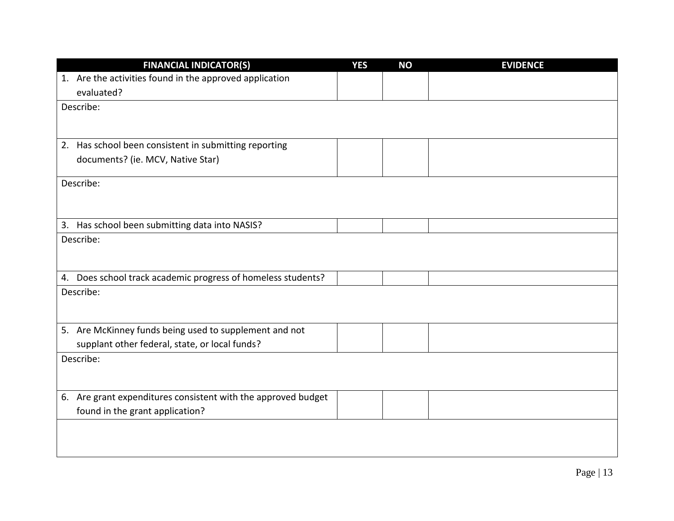| <b>FINANCIAL INDICATOR(S)</b>                                 | <b>YES</b> | <b>NO</b> | <b>EVIDENCE</b> |
|---------------------------------------------------------------|------------|-----------|-----------------|
| 1. Are the activities found in the approved application       |            |           |                 |
| evaluated?                                                    |            |           |                 |
| Describe:                                                     |            |           |                 |
|                                                               |            |           |                 |
|                                                               |            |           |                 |
| 2. Has school been consistent in submitting reporting         |            |           |                 |
| documents? (ie. MCV, Native Star)                             |            |           |                 |
| Describe:                                                     |            |           |                 |
|                                                               |            |           |                 |
|                                                               |            |           |                 |
| 3. Has school been submitting data into NASIS?                |            |           |                 |
| Describe:                                                     |            |           |                 |
|                                                               |            |           |                 |
|                                                               |            |           |                 |
| 4. Does school track academic progress of homeless students?  |            |           |                 |
| Describe:                                                     |            |           |                 |
|                                                               |            |           |                 |
| 5. Are McKinney funds being used to supplement and not        |            |           |                 |
| supplant other federal, state, or local funds?                |            |           |                 |
| Describe:                                                     |            |           |                 |
|                                                               |            |           |                 |
|                                                               |            |           |                 |
| 6. Are grant expenditures consistent with the approved budget |            |           |                 |
| found in the grant application?                               |            |           |                 |
|                                                               |            |           |                 |
|                                                               |            |           |                 |
|                                                               |            |           |                 |